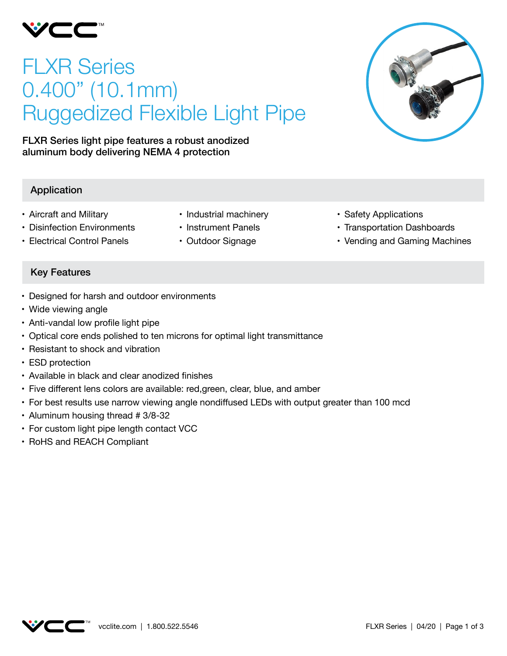

# FLXR Series 0.400" (10.1mm) Ruggedized Flexible Light Pipe

FLXR Series light pipe features a robust anodized aluminum body delivering NEMA 4 protection

## Application

- • Aircraft and Military
- Disinfection Environments
- • Electrical Control Panels
- Industrial machinery
- • Instrument Panels
- Outdoor Signage
- • Safety Applications
- Transportation Dashboards
- Vending and Gaming Machines

## Key Features

- • Designed for harsh and outdoor environments
- Wide viewing angle
- Anti-vandal low profile light pipe
- Optical core ends polished to ten microns for optimal light transmittance
- Resistant to shock and vibration
- ESD protection
- Available in black and clear anodized finishes
- Five different lens colors are available: red, green, clear, blue, and amber
- • For best results use narrow viewing angle nondiffused LEDs with output greater than 100 mcd
- Aluminum housing thread # 3/8-32
- For custom light pipe length contact VCC
- RoHS and REACH Compliant

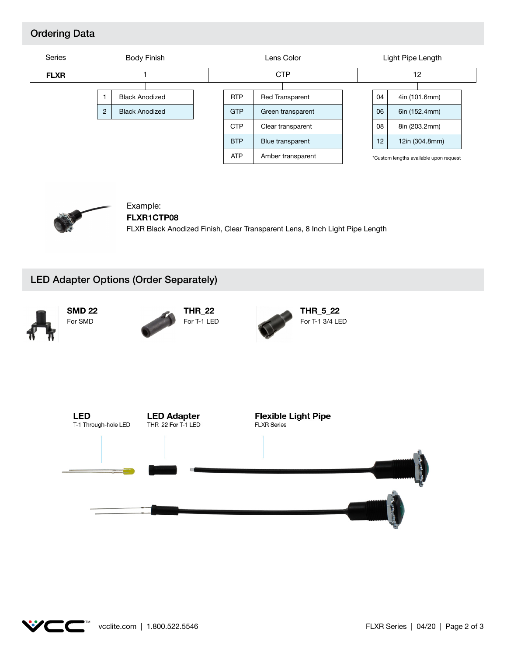### Ordering Data





#### Example: **FLXR1CTP08**

FLXR Black Anodized Finish, Clear Transparent Lens, 8 Inch Light Pipe Length